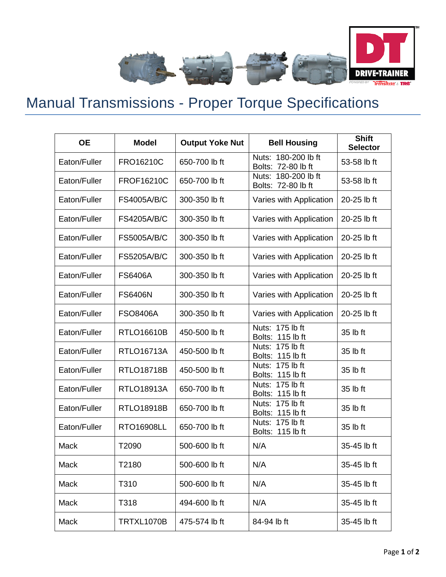

## Manual Transmissions - Proper Torque Specifications

| <b>OE</b>    | <b>Model</b>       | <b>Output Yoke Nut</b> | <b>Bell Housing</b>                       | <b>Shift</b><br><b>Selector</b> |
|--------------|--------------------|------------------------|-------------------------------------------|---------------------------------|
| Eaton/Fuller | FRO16210C          | 650-700 lb ft          | Nuts: 180-200 lb ft<br>Bolts: 72-80 lb ft | 53-58 lb ft                     |
| Eaton/Fuller | <b>FROF16210C</b>  | 650-700 lb ft          | Nuts: 180-200 lb ft<br>Bolts: 72-80 lb ft | 53-58 lb ft                     |
| Eaton/Fuller | <b>FS4005A/B/C</b> | 300-350 lb ft          | Varies with Application                   | 20-25 lb ft                     |
| Eaton/Fuller | <b>FS4205A/B/C</b> | 300-350 lb ft          | Varies with Application                   | 20-25 lb ft                     |
| Eaton/Fuller | <b>FS5005A/B/C</b> | 300-350 lb ft          | Varies with Application                   | 20-25 lb ft                     |
| Eaton/Fuller | <b>FS5205A/B/C</b> | 300-350 lb ft          | Varies with Application                   | 20-25 lb ft                     |
| Eaton/Fuller | <b>FS6406A</b>     | 300-350 lb ft          | Varies with Application                   | 20-25 lb ft                     |
| Eaton/Fuller | <b>FS6406N</b>     | 300-350 lb ft          | Varies with Application                   | 20-25 lb ft                     |
| Eaton/Fuller | <b>FSO8406A</b>    | 300-350 lb ft          | Varies with Application                   | 20-25 lb ft                     |
| Eaton/Fuller | <b>RTLO16610B</b>  | 450-500 lb ft          | Nuts: 175 lb ft<br>Bolts: 115 lb ft       | 35 lb ft                        |
| Eaton/Fuller | <b>RTLO16713A</b>  | 450-500 lb ft          | Nuts: 175 lb ft<br>Bolts: 115 lb ft       | 35 lb ft                        |
| Eaton/Fuller | <b>RTLO18718B</b>  | 450-500 lb ft          | Nuts: 175 lb ft<br>Bolts: 115 lb ft       | 35 lb ft                        |
| Eaton/Fuller | <b>RTLO18913A</b>  | 650-700 lb ft          | Nuts: 175 lb ft<br>Bolts: 115 lb ft       | 35 lb ft                        |
| Eaton/Fuller | <b>RTLO18918B</b>  | 650-700 lb ft          | Nuts: 175 lb ft<br>Bolts: 115 lb ft       | 35 lb ft                        |
| Eaton/Fuller | <b>RTO16908LL</b>  | 650-700 lb ft          | Nuts: 175 lb ft<br>115 lb ft<br>Bolts:    | 35 lb ft                        |
| Mack         | T2090              | 500-600 lb ft          | N/A                                       | 35-45 lb ft                     |
| Mack         | T2180              | 500-600 lb ft          | N/A                                       | 35-45 lb ft                     |
| Mack         | T310               | 500-600 lb ft          | N/A                                       | 35-45 lb ft                     |
| Mack         | T318               | 494-600 lb ft          | N/A                                       | 35-45 lb ft                     |
| Mack         | TRTXL1070B         | 475-574 lb ft          | 84-94 lb ft                               | 35-45 lb ft                     |